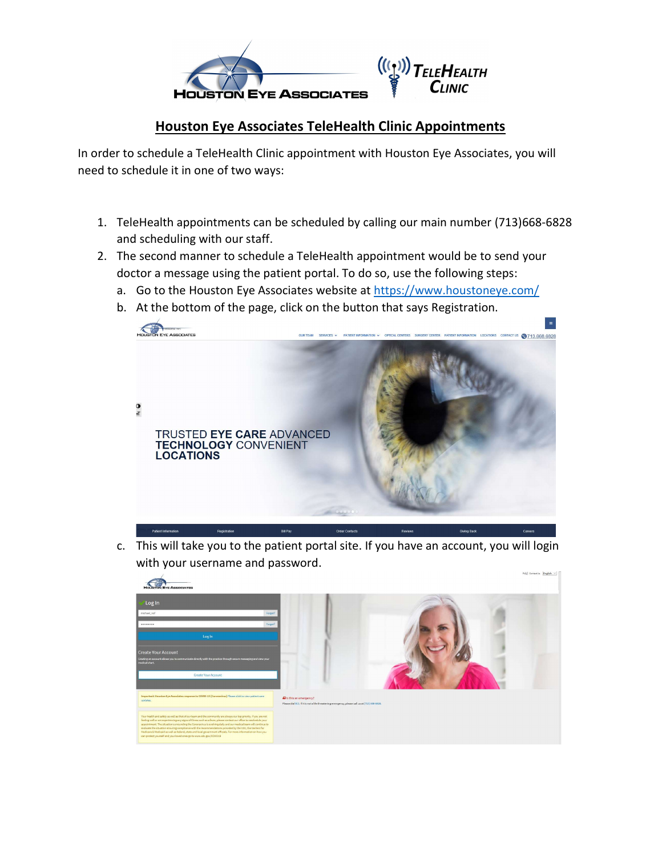

## Houston Eye Associates TeleHealth Clinic Appointments

In order to schedule a TeleHealth Clinic appointment with Houston Eye Associates, you will need to schedule it in one of two ways:

- 1. TeleHealth appointments can be scheduled by calling our main number (713)668-6828 and scheduling with our staff.
- 2. The second manner to schedule a TeleHealth appointment would be to send your doctor a message using the patient portal. To do so, use the following steps:
	- a. Go to the Houston Eye Associates website at https://www.houstoneye.com/
	- b. At the bottom of the page, click on the button that says Registration.



c. This will take you to the patient portal site. If you have an account, you will login with your username and password.